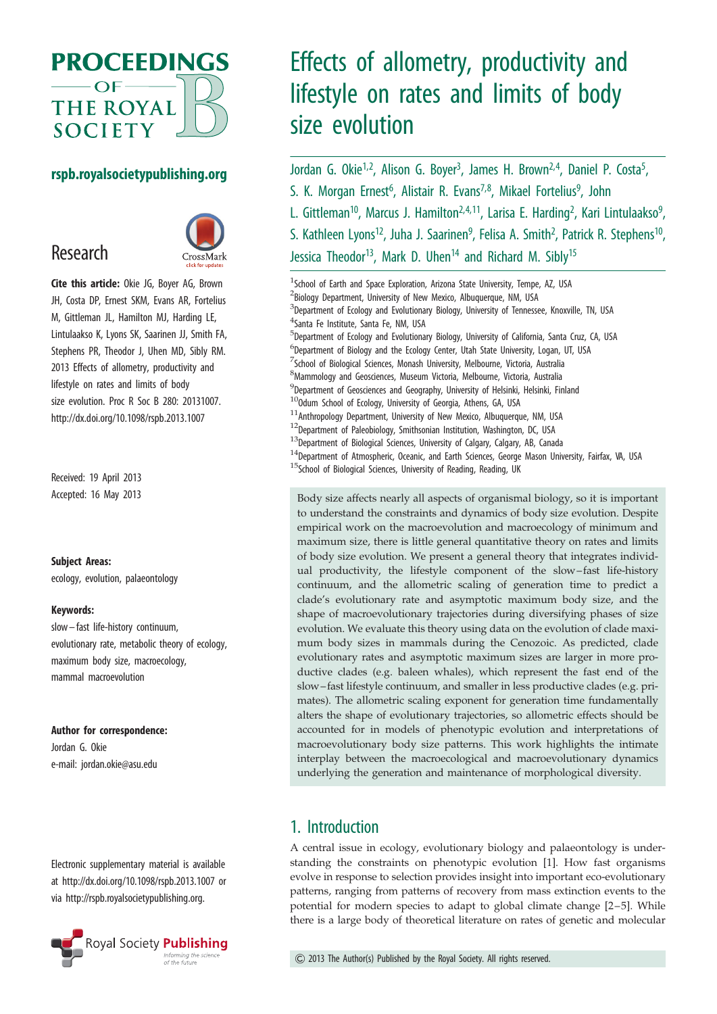

## rspb.royalsocietypublishing.org

## Research



Cite this article: Okie JG, Boyer AG, Brown JH, Costa DP, Ernest SKM, Evans AR, Fortelius M, Gittleman JL, Hamilton MJ, Harding LE, Lintulaakso K, Lyons SK, Saarinen JJ, Smith FA, Stephens PR, Theodor J, Uhen MD, Sibly RM. 2013 Effects of allometry, productivity and lifestyle on rates and limits of body size evolution. Proc R Soc B 280: 20131007. http://dx.doi.org/10.1098/rspb.2013.1007

Received: 19 April 2013 Accepted: 16 May 2013

#### Subject Areas:

ecology, evolution, palaeontology

#### Keywords:

slow –fast life-history continuum, evolutionary rate, metabolic theory of ecology, maximum body size, macroecology, mammal macroevolution

#### Author for correspondence:

Jordan G. Okie e-mail: [jordan.okie@asu.edu](mailto:jordan.okie@asu.edu)

Electronic supplementary material is available at<http://dx.doi.org/10.1098/rspb.2013.1007> or via<http://rspb.royalsocietypublishing.org>.



# Effects of allometry, productivity and lifestyle on rates and limits of body size evolution

Jordan G. Okie<sup>1,2</sup>, Alison G. Boyer<sup>3</sup>, James H. Brown<sup>2,4</sup>, Daniel P. Costa<sup>5</sup> .<br>ו S. K. Morgan Ernest<sup>6</sup>, Alistair R. Evans<sup>7,8</sup>, Mikael Fortelius<sup>9</sup>, John L. Gittleman<sup>10</sup>, Marcus J. Hamilton<sup>2,4,11</sup>, Larisa E. Harding<sup>2</sup>, Kari Lintulaakso<sup>9</sup> ,<br>, S. Kathleen Lyons<sup>12</sup>, Juha J. Saarinen<sup>9</sup>, Felisa A. Smith<sup>2</sup>, Patrick R. Stephens<sup>10</sup>, Jessica Theodor<sup>13</sup>, Mark D. Uhen<sup>14</sup> and Richard M. Sibly<sup>15</sup>

<sup>1</sup>School of Earth and Space Exploration, Arizona State University, Tempe, AZ, USA <sup>2</sup>Biology Department, University of New Mexico, Albuquerque, NM, USA <sup>3</sup>Department of Ecology and Evolutionary Biology, University of Tennessee, Knoxville, TN, USA 4 Santa Fe Institute, Santa Fe, NM, USA 5 Department of Ecology and Evolutionary Biology, University of California, Santa Cruz, CA, USA <sup>6</sup>Department of Biology and the Ecology Center, Utah State University, Logan, UT, USA 7 School of Biological Sciences, Monash University, Melbourne, Victoria, Australia 8 Mammology and Geosciences, Museum Victoria, Melbourne, Victoria, Australia <sup>9</sup>Department of Geosciences and Geography, University of Helsinki, Helsinki, Finland  $10$ Odum School of Ecology, University of Georgia, Athens, GA, USA  $11$ Anthropology Department, University of New Mexico, Albuquerque, NM, USA  $12$ Department of Paleobiology, Smithsonian Institution, Washington, DC, USA  $13$ Department of Biological Sciences, University of Calgary, Calgary, AB, Canada  $14$ Department of Atmospheric, Oceanic, and Earth Sciences, George Mason University, Fairfax, VA, USA  $^{15}$ School of Biological Sciences, University of Reading, Reading, UK

Body size affects nearly all aspects of organismal biology, so it is important to understand the constraints and dynamics of body size evolution. Despite empirical work on the macroevolution and macroecology of minimum and maximum size, there is little general quantitative theory on rates and limits of body size evolution. We present a general theory that integrates individual productivity, the lifestyle component of the slow-fast life-history continuum, and the allometric scaling of generation time to predict a clade's evolutionary rate and asymptotic maximum body size, and the shape of macroevolutionary trajectories during diversifying phases of size evolution. We evaluate this theory using data on the evolution of clade maximum body sizes in mammals during the Cenozoic. As predicted, clade evolutionary rates and asymptotic maximum sizes are larger in more productive clades (e.g. baleen whales), which represent the fast end of the slow– fast lifestyle continuum, and smaller in less productive clades (e.g. primates). The allometric scaling exponent for generation time fundamentally alters the shape of evolutionary trajectories, so allometric effects should be accounted for in models of phenotypic evolution and interpretations of macroevolutionary body size patterns. This work highlights the intimate interplay between the macroecological and macroevolutionary dynamics underlying the generation and maintenance of morphological diversity.

## 1. Introduction

A central issue in ecology, evolutionary biology and palaeontology is understanding the constraints on phenotypic evolution [\[1\]](#page-5-0). How fast organisms evolve in response to selection provides insight into important eco-evolutionary patterns, ranging from patterns of recovery from mass extinction events to the potential for modern species to adapt to global climate change [\[2](#page-5-0)–[5](#page-5-0)]. While there is a large body of theoretical literature on rates of genetic and molecular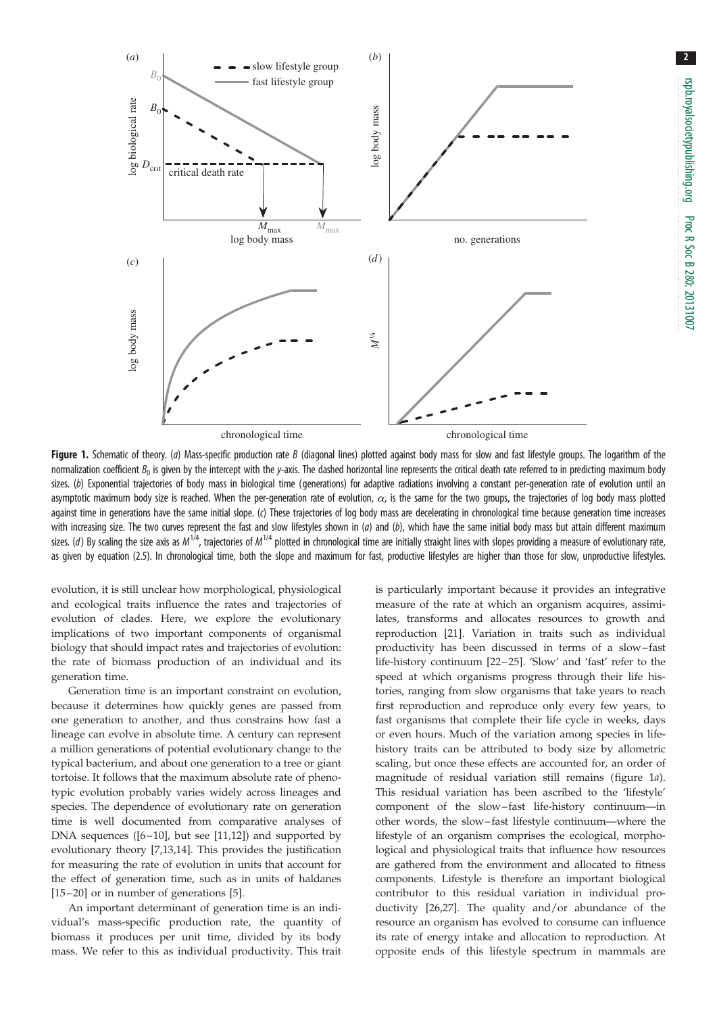<span id="page-1-0"></span>

Figure 1. Schematic of theory. (a) Mass-specific production rate B (diagonal lines) plotted against body mass for slow and fast lifestyle groups. The logarithm of the normalization coefficient  $B_0$  is given by the intercept with the y-axis. The dashed horizontal line represents the critical death rate referred to in predicting maximum body sizes. (b) Exponential trajectories of body mass in biological time (generations) for adaptive radiations involving a constant per-generation rate of evolution until an asymptotic maximum body size is reached. When the per-generation rate of evolution,  $\alpha$ , is the same for the two groups, the trajectories of log body mass plotted against time in generations have the same initial slope. (c) These trajectories of log body mass are decelerating in chronological time because generation time increases with increasing size. The two curves represent the fast and slow lifestyles shown in  $(a)$  and  $(b)$ , which have the same initial body mass but attain different maximum sizes. (d) By scaling the size axis as  $M^{1/4}$ , trajectories of  $M^{1/4}$  plotted in chronological time are initially straight lines with slopes providing a measure of evolutionary rate, as given by equation (2.5). In chronological time, both the slope and maximum for fast, productive lifestyles are higher than those for slow, unproductive lifestyles.

evolution, it is still unclear how morphological, physiological and ecological traits influence the rates and trajectories of evolution of clades. Here, we explore the evolutionary implications of two important components of organismal biology that should impact rates and trajectories of evolution: the rate of biomass production of an individual and its generation time.

Generation time is an important constraint on evolution, because it determines how quickly genes are passed from one generation to another, and thus constrains how fast a lineage can evolve in absolute time. A century can represent a million generations of potential evolutionary change to the typical bacterium, and about one generation to a tree or giant tortoise. It follows that the maximum absolute rate of phenotypic evolution probably varies widely across lineages and species. The dependence of evolutionary rate on generation time is well documented from comparative analyses of DNA sequences  $([6-10]$  $([6-10]$  $([6-10]$  $([6-10]$  $([6-10]$ , but see  $[11,12]$  $[11,12]$ ) and supported by evolutionary theory [\[7,13,14](#page-5-0)]. This provides the justification for measuring the rate of evolution in units that account for the effect of generation time, such as in units of haldanes [\[15](#page-5-0) –[20\]](#page-5-0) or in number of generations [\[5\]](#page-5-0).

An important determinant of generation time is an individual's mass-specific production rate, the quantity of biomass it produces per unit time, divided by its body mass. We refer to this as individual productivity. This trait

is particularly important because it provides an integrative measure of the rate at which an organism acquires, assimilates, transforms and allocates resources to growth and reproduction [[21\]](#page-5-0). Variation in traits such as individual productivity has been discussed in terms of a slow–fast life-history continuum [\[22](#page-5-0)–[25](#page-5-0)]. 'Slow' and 'fast' refer to the speed at which organisms progress through their life histories, ranging from slow organisms that take years to reach first reproduction and reproduce only every few years, to fast organisms that complete their life cycle in weeks, days or even hours. Much of the variation among species in lifehistory traits can be attributed to body size by allometric scaling, but once these effects are accounted for, an order of magnitude of residual variation still remains (figure 1a). This residual variation has been ascribed to the 'lifestyle' component of the slow–fast life-history continuum—in other words, the slow– fast lifestyle continuum—where the lifestyle of an organism comprises the ecological, morphological and physiological traits that influence how resources are gathered from the environment and allocated to fitness components. Lifestyle is therefore an important biological contributor to this residual variation in individual productivity [\[26](#page-5-0),[27\]](#page-6-0). The quality and/or abundance of the resource an organism has evolved to consume can influence its rate of energy intake and allocation to reproduction. At opposite ends of this lifestyle spectrum in mammals are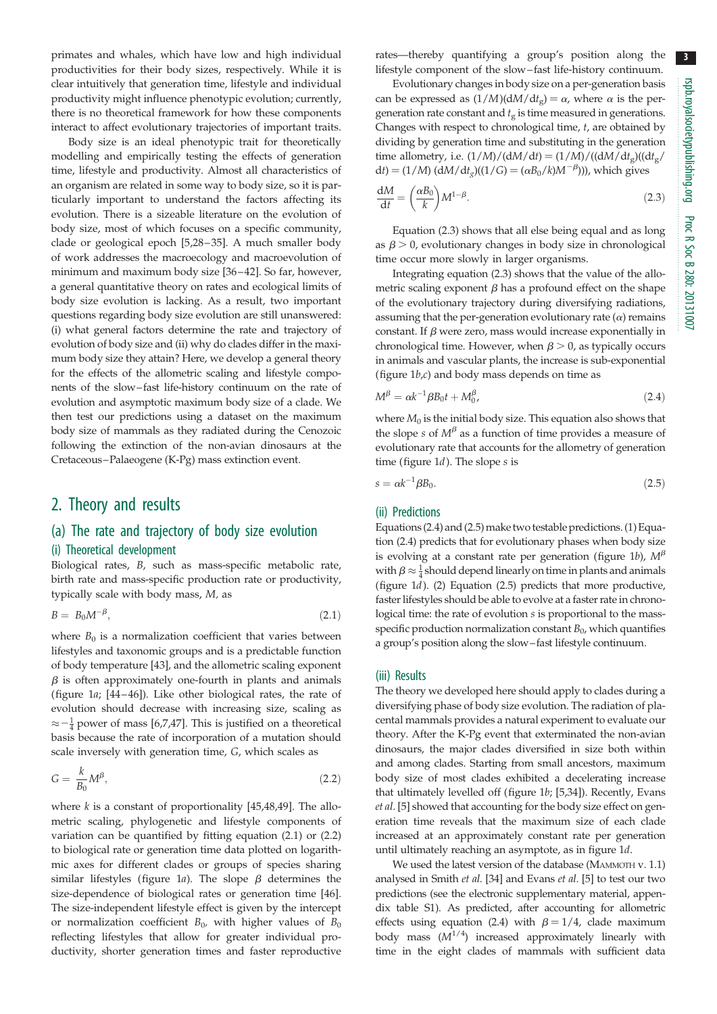primates and whales, which have low and high individual productivities for their body sizes, respectively. While it is clear intuitively that generation time, lifestyle and individual productivity might influence phenotypic evolution; currently, there is no theoretical framework for how these components interact to affect evolutionary trajectories of important traits.

Body size is an ideal phenotypic trait for theoretically modelling and empirically testing the effects of generation time, lifestyle and productivity. Almost all characteristics of an organism are related in some way to body size, so it is particularly important to understand the factors affecting its evolution. There is a sizeable literature on the evolution of body size, most of which focuses on a specific community, clade or geological epoch [\[5,](#page-5-0)[28](#page-6-0) –[35](#page-6-0)]. A much smaller body of work addresses the macroecology and macroevolution of minimum and maximum body size [[36](#page-6-0) –[42](#page-6-0)]. So far, however, a general quantitative theory on rates and ecological limits of body size evolution is lacking. As a result, two important questions regarding body size evolution are still unanswered: (i) what general factors determine the rate and trajectory of evolution of body size and (ii) why do clades differ in the maximum body size they attain? Here, we develop a general theory for the effects of the allometric scaling and lifestyle components of the slow– fast life-history continuum on the rate of evolution and asymptotic maximum body size of a clade. We then test our predictions using a dataset on the maximum body size of mammals as they radiated during the Cenozoic following the extinction of the non-avian dinosaurs at the Cretaceous–Palaeogene (K-Pg) mass extinction event.

### 2. Theory and results

## (a) The rate and trajectory of body size evolution (i) Theoretical development

Biological rates, B, such as mass-specific metabolic rate, birth rate and mass-specific production rate or productivity, typically scale with body mass, M, as

$$
B = B_0 M^{-\beta}, \tag{2.1}
$$

where  $B_0$  is a normalization coefficient that varies between lifestyles and taxonomic groups and is a predictable function of body temperature [[43\]](#page-6-0), and the allometric scaling exponent  $\beta$  is often approximately one-fourth in plants and animals [\(figure 1](#page-1-0)a; [\[44](#page-6-0) –[46](#page-6-0)]). Like other biological rates, the rate of evolution should decrease with increasing size, scaling as  $\approx -\frac{1}{4}$  power of mass [\[6,7,](#page-5-0)[47\]](#page-6-0). This is justified on a theoretical basis because the rate of incorporation of a mutation should scale inversely with generation time, G, which scales as

$$
G = \frac{k}{B_0} M^{\beta},\tag{2.2}
$$

where  $k$  is a constant of proportionality [\[45,48](#page-6-0),[49\]](#page-6-0). The allometric scaling, phylogenetic and lifestyle components of variation can be quantified by fitting equation (2.1) or (2.2) to biological rate or generation time data plotted on logarithmic axes for different clades or groups of species sharing similar lifestyles [\(figure 1](#page-1-0)a). The slope  $\beta$  determines the size-dependence of biological rates or generation time [\[46](#page-6-0)]. The size-independent lifestyle effect is given by the intercept or normalization coefficient  $B_0$ , with higher values of  $B_0$ reflecting lifestyles that allow for greater individual productivity, shorter generation times and faster reproductive

rates—thereby quantifying a group's position along the lifestyle component of the slow– fast life-history continuum.

Evolutionary changes in body size on a per-generation basis can be expressed as  $(1/M)(dM/dt_g) = \alpha$ , where  $\alpha$  is the pergeneration rate constant and  $t_{\rm g}$  is time measured in generations. Changes with respect to chronological time,  $t$ , are obtained by dividing by generation time and substituting in the generation time allometry, i.e.  $(1/M)/(dM/dt) = (1/M)/(dM/dt_g)/(d^2t_g)$ dt) =  $(1/M)$  (dM/dt<sub>g</sub>)((1/G) =  $(\alpha B_0/k)M^{-\beta}$ ))), which gives

$$
\frac{dM}{dt} = \left(\frac{\alpha B_0}{k}\right) M^{1-\beta}.\tag{2.3}
$$

Equation (2.3) shows that all else being equal and as long as  $\beta > 0$ , evolutionary changes in body size in chronological time occur more slowly in larger organisms.

Integrating equation (2.3) shows that the value of the allometric scaling exponent  $\beta$  has a profound effect on the shape of the evolutionary trajectory during diversifying radiations, assuming that the per-generation evolutionary rate  $(\alpha)$  remains constant. If  $\beta$  were zero, mass would increase exponentially in chronological time. However, when  $\beta > 0$ , as typically occurs in animals and vascular plants, the increase is sub-exponential (figure  $1b$ , $c$ ) and body mass depends on time as

$$
M^{\beta} = \alpha k^{-1} \beta B_0 t + M_0^{\beta}, \qquad (2.4)
$$

where  $M_0$  is the initial body size. This equation also shows that the slope s of  $M^{\beta}$  as a function of time provides a measure of evolutionary rate that accounts for the allometry of generation time (figure  $1d$ ). The slope  $s$  is

$$
s = \alpha k^{-1} \beta B_0. \tag{2.5}
$$

#### (ii) Predictions

Equations  $(2.4)$  and  $(2.5)$  make two testable predictions.  $(1)$  Equation (2.4) predicts that for evolutionary phases when body size is evolving at a constant rate per generation [\(figure 1](#page-1-0)b),  $M^{\beta}$ with  $\beta \approx \frac{1}{4}$  should depend linearly on time in plants and animals ([figure 1](#page-1-0)d). (2) Equation (2.5) predicts that more productive, faster lifestyles should be able to evolve at a faster rate in chronological time: the rate of evolution s is proportional to the massspecific production normalization constant  $B_0$ , which quantifies a group's position along the slow– fast lifestyle continuum.

#### (iii) Results

The theory we developed here should apply to clades during a diversifying phase of body size evolution. The radiation of placental mammals provides a natural experiment to evaluate our theory. After the K-Pg event that exterminated the non-avian dinosaurs, the major clades diversified in size both within and among clades. Starting from small ancestors, maximum body size of most clades exhibited a decelerating increase that ultimately levelled off ([figure 1](#page-1-0)b; [\[5](#page-5-0)[,34](#page-6-0)]). Recently, Evans et al. [\[5\]](#page-5-0) showed that accounting for the body size effect on generation time reveals that the maximum size of each clade increased at an approximately constant rate per generation until ultimately reaching an asymptote, as in [figure 1](#page-1-0)d.

We used the latest version of the database (MAMMOTH v. 1.1) analysed in Smith et al. [\[34\]](#page-6-0) and Evans et al. [\[5](#page-5-0)] to test our two predictions (see the electronic supplementary material, appendix table S1). As predicted, after accounting for allometric effects using equation (2.4) with  $\beta = 1/4$ , clade maximum body mass  $(M^{1/4})$  increased approximately linearly with time in the eight clades of mammals with sufficient data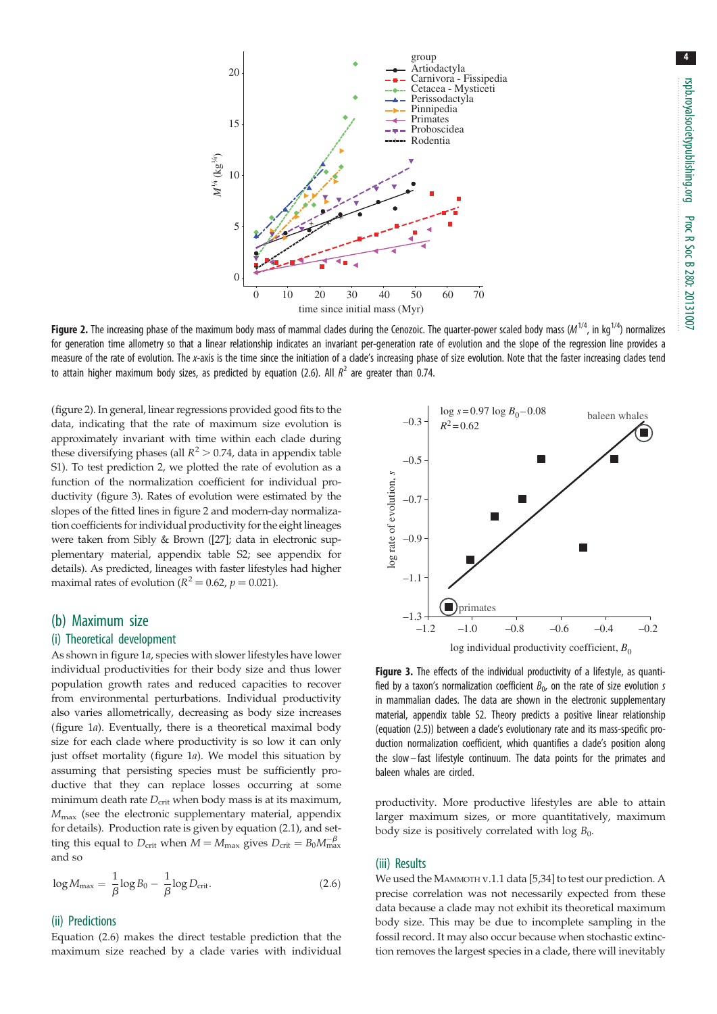4



Figure 2. The increasing phase of the maximum body mass of mammal clades during the Cenozoic. The quarter-power scaled body mass ( $M^{1/4}$ , in kg $^{1/4}$ ) normalizes for generation time allometry so that a linear relationship indicates an invariant per-generation rate of evolution and the slope of the regression line provides a measure of the rate of evolution. The x-axis is the time since the initiation of a clade's increasing phase of size evolution. Note that the faster increasing clades tend to attain higher maximum body sizes, as predicted by equation (2.6). All  $R^2$  are greater than 0.74.

(figure 2). In general, linear regressions provided good fits to the data, indicating that the rate of maximum size evolution is approximately invariant with time within each clade during these diversifying phases (all  $R^2 > 0.74$ , data in appendix table S1). To test prediction 2, we plotted the rate of evolution as a function of the normalization coefficient for individual productivity (figure 3). Rates of evolution were estimated by the slopes of the fitted lines in figure 2 and modern-day normalization coefficients for individual productivity for the eight lineages were taken from Sibly & Brown ([\[27](#page-6-0)]; data in electronic supplementary material, appendix table S2; see appendix for details). As predicted, lineages with faster lifestyles had higher maximal rates of evolution ( $R^2 = 0.62$ ,  $p = 0.021$ ).

#### (b) Maximum size

#### (i) Theoretical development

As shown in [figure 1](#page-1-0)a, species with slower lifestyles have lower individual productivities for their body size and thus lower population growth rates and reduced capacities to recover from environmental perturbations. Individual productivity also varies allometrically, decreasing as body size increases [\(figure 1](#page-1-0)a). Eventually, there is a theoretical maximal body size for each clade where productivity is so low it can only just offset mortality [\(figure 1](#page-1-0)a). We model this situation by assuming that persisting species must be sufficiently productive that they can replace losses occurring at some minimum death rate  $D_{\text{crit}}$  when body mass is at its maximum,  $M_{\text{max}}$  (see the electronic supplementary material, appendix for details). Production rate is given by equation (2.1), and setting this equal to  $D_{\text{crit}}$  when  $M = M_{\text{max}}$  gives  $D_{\text{crit}} = B_0 M_{\text{max}}^{-\beta}$ and so

$$
\log M_{\text{max}} = \frac{1}{\beta} \log B_0 - \frac{1}{\beta} \log D_{\text{crit}}.\tag{2.6}
$$

#### (ii) Predictions

Equation (2.6) makes the direct testable prediction that the maximum size reached by a clade varies with individual



Figure 3. The effects of the individual productivity of a lifestyle, as quantified by a taxon's normalization coefficient  $B_0$ , on the rate of size evolution s in mammalian clades. The data are shown in the electronic supplementary material, appendix table S2. Theory predicts a positive linear relationship (equation (2.5)) between a clade's evolutionary rate and its mass-specific production normalization coefficient, which quantifies a clade's position along the slow –fast lifestyle continuum. The data points for the primates and baleen whales are circled.

productivity. More productive lifestyles are able to attain larger maximum sizes, or more quantitatively, maximum body size is positively correlated with  $log B_0$ .

#### (iii) Results

We used the MAMMOTH v.1.1 data [\[5,](#page-5-0)[34\]](#page-6-0) to test our prediction. A precise correlation was not necessarily expected from these data because a clade may not exhibit its theoretical maximum body size. This may be due to incomplete sampling in the fossil record. It may also occur because when stochastic extinction removes the largest species in a clade, there will inevitably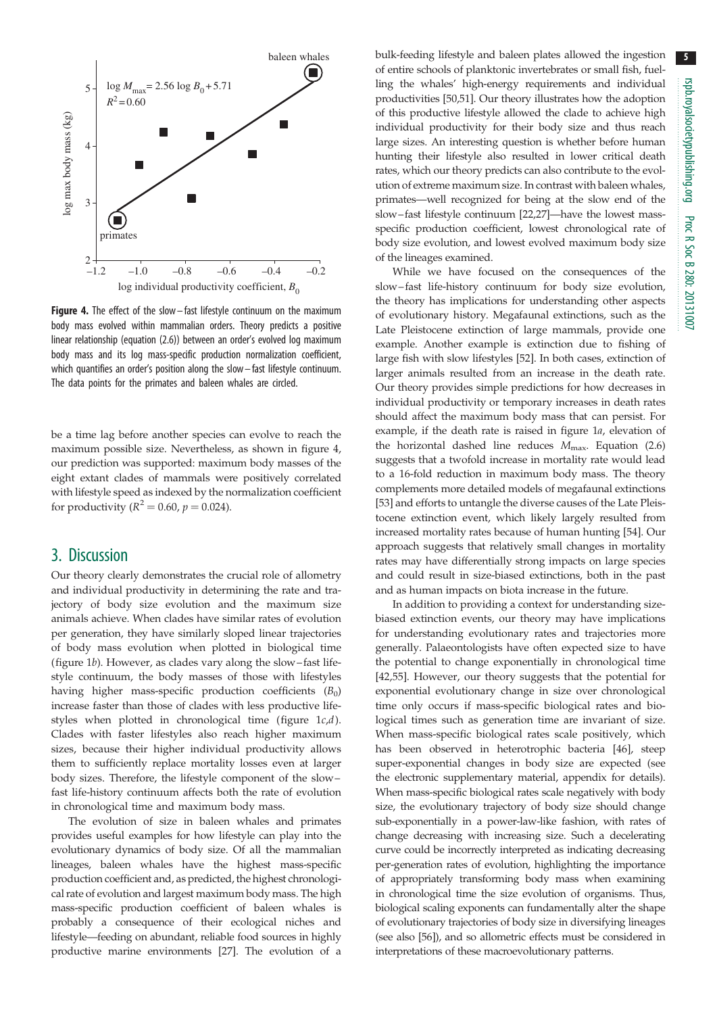

Figure 4. The effect of the slow - fast lifestyle continuum on the maximum body mass evolved within mammalian orders. Theory predicts a positive linear relationship (equation (2.6)) between an order's evolved log maximum body mass and its log mass-specific production normalization coefficient, which quantifies an order's position along the slow - fast lifestyle continuum. The data points for the primates and baleen whales are circled.

be a time lag before another species can evolve to reach the maximum possible size. Nevertheless, as shown in figure 4, our prediction was supported: maximum body masses of the eight extant clades of mammals were positively correlated with lifestyle speed as indexed by the normalization coefficient for productivity ( $R^2 = 0.60$ ,  $p = 0.024$ ).

## 3. Discussion

Our theory clearly demonstrates the crucial role of allometry and individual productivity in determining the rate and trajectory of body size evolution and the maximum size animals achieve. When clades have similar rates of evolution per generation, they have similarly sloped linear trajectories of body mass evolution when plotted in biological time (figure  $1b$ ). However, as clades vary along the slow–fast lifestyle continuum, the body masses of those with lifestyles having higher mass-specific production coefficients  $(B_0)$ increase faster than those of clades with less productive lifestyles when plotted in chronological time (figure  $1c,d$ ). Clades with faster lifestyles also reach higher maximum sizes, because their higher individual productivity allows them to sufficiently replace mortality losses even at larger body sizes. Therefore, the lifestyle component of the slow– fast life-history continuum affects both the rate of evolution in chronological time and maximum body mass.

The evolution of size in baleen whales and primates provides useful examples for how lifestyle can play into the evolutionary dynamics of body size. Of all the mammalian lineages, baleen whales have the highest mass-specific production coefficient and, as predicted, the highest chronological rate of evolution and largest maximum body mass. The high mass-specific production coefficient of baleen whales is probably a consequence of their ecological niches and lifestyle—feeding on abundant, reliable food sources in highly productive marine environments [\[27\]](#page-6-0). The evolution of a

bulk-feeding lifestyle and baleen plates allowed the ingestion of entire schools of planktonic invertebrates or small fish, fuelling the whales' high-energy requirements and individual productivities [[50](#page-6-0),[51](#page-6-0)]. Our theory illustrates how the adoption of this productive lifestyle allowed the clade to achieve high individual productivity for their body size and thus reach large sizes. An interesting question is whether before human hunting their lifestyle also resulted in lower critical death rates, which our theory predicts can also contribute to the evolution of extreme maximum size. In contrast with baleen whales, primates—well recognized for being at the slow end of the slow– fast lifestyle continuum [\[22](#page-5-0)[,27\]](#page-6-0)—have the lowest massspecific production coefficient, lowest chronological rate of body size evolution, and lowest evolved maximum body size of the lineages examined.

While we have focused on the consequences of the slow– fast life-history continuum for body size evolution, the theory has implications for understanding other aspects of evolutionary history. Megafaunal extinctions, such as the Late Pleistocene extinction of large mammals, provide one example. Another example is extinction due to fishing of large fish with slow lifestyles [[52](#page-6-0)]. In both cases, extinction of larger animals resulted from an increase in the death rate. Our theory provides simple predictions for how decreases in individual productivity or temporary increases in death rates should affect the maximum body mass that can persist. For example, if the death rate is raised in [figure 1](#page-1-0)a, elevation of the horizontal dashed line reduces  $M_{\text{max}}$ . Equation (2.6) suggests that a twofold increase in mortality rate would lead to a 16-fold reduction in maximum body mass. The theory complements more detailed models of megafaunal extinctions [[53\]](#page-6-0) and efforts to untangle the diverse causes of the Late Pleistocene extinction event, which likely largely resulted from increased mortality rates because of human hunting [\[54](#page-6-0)]. Our approach suggests that relatively small changes in mortality rates may have differentially strong impacts on large species and could result in size-biased extinctions, both in the past and as human impacts on biota increase in the future.

In addition to providing a context for understanding sizebiased extinction events, our theory may have implications for understanding evolutionary rates and trajectories more generally. Palaeontologists have often expected size to have the potential to change exponentially in chronological time [[42,55\]](#page-6-0). However, our theory suggests that the potential for exponential evolutionary change in size over chronological time only occurs if mass-specific biological rates and biological times such as generation time are invariant of size. When mass-specific biological rates scale positively, which has been observed in heterotrophic bacteria [[46\]](#page-6-0), steep super-exponential changes in body size are expected (see the electronic supplementary material, appendix for details). When mass-specific biological rates scale negatively with body size, the evolutionary trajectory of body size should change sub-exponentially in a power-law-like fashion, with rates of change decreasing with increasing size. Such a decelerating curve could be incorrectly interpreted as indicating decreasing per-generation rates of evolution, highlighting the importance of appropriately transforming body mass when examining in chronological time the size evolution of organisms. Thus, biological scaling exponents can fundamentally alter the shape of evolutionary trajectories of body size in diversifying lineages (see also [\[56\]](#page-6-0)), and so allometric effects must be considered in interpretations of these macroevolutionary patterns.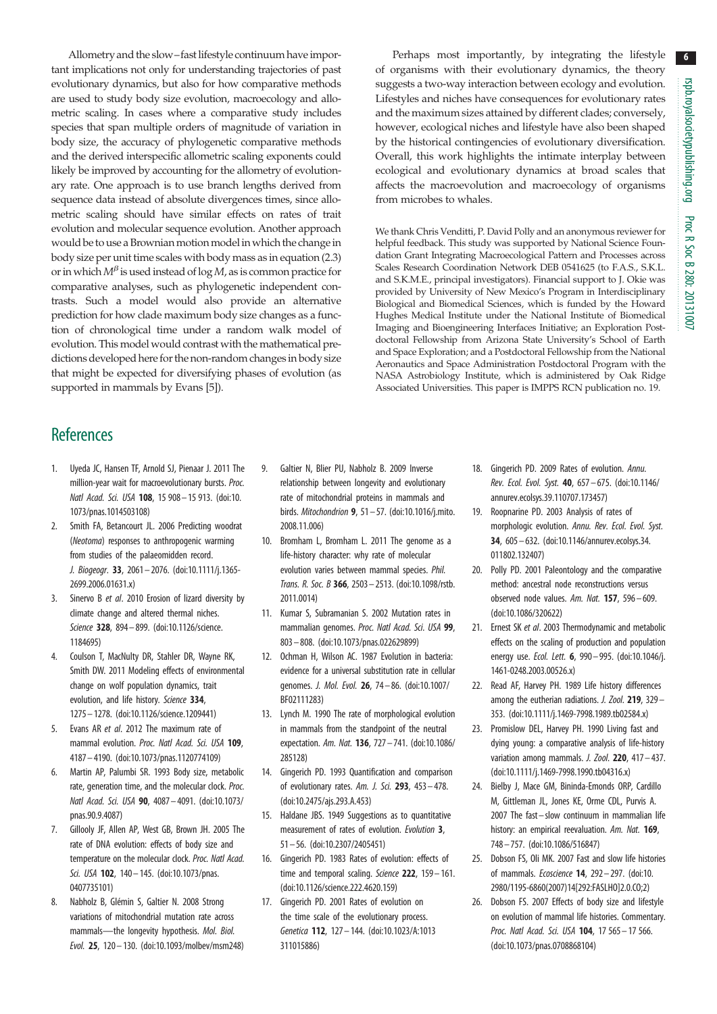6

<span id="page-5-0"></span>Allometry and the slow–fast lifestyle continuum have important implications not only for understanding trajectories of past evolutionary dynamics, but also for how comparative methods are used to study body size evolution, macroecology and allometric scaling. In cases where a comparative study includes species that span multiple orders of magnitude of variation in body size, the accuracy of phylogenetic comparative methods and the derived interspecific allometric scaling exponents could likely be improved by accounting for the allometry of evolutionary rate. One approach is to use branch lengths derived from sequence data instead of absolute divergences times, since allometric scaling should have similar effects on rates of trait evolution and molecular sequence evolution. Another approach would be to use a Brownian motion model in which the change in body size per unit time scales with body mass as in equation (2.3) or in which  $M^{\beta}$  is used instead of log M, as is common practice for comparative analyses, such as phylogenetic independent contrasts. Such a model would also provide an alternative prediction for how clade maximum body size changes as a function of chronological time under a random walk model of evolution. This model would contrast with the mathematical predictions developed here for the non-random changes in body size that might be expected for diversifying phases of evolution (as supported in mammals by Evans [5]).

Perhaps most importantly, by integrating the lifestyle of organisms with their evolutionary dynamics, the theory suggests a two-way interaction between ecology and evolution. Lifestyles and niches have consequences for evolutionary rates and the maximum sizes attained by different clades; conversely, however, ecological niches and lifestyle have also been shaped by the historical contingencies of evolutionary diversification. Overall, this work highlights the intimate interplay between ecological and evolutionary dynamics at broad scales that affects the macroevolution and macroecology of organisms from microbes to whales.

We thank Chris Venditti, P. David Polly and an anonymous reviewer for helpful feedback. This study was supported by National Science Foundation Grant Integrating Macroecological Pattern and Processes across Scales Research Coordination Network DEB 0541625 (to F.A.S., S.K.L. and S.K.M.E., principal investigators). Financial support to J. Okie was provided by University of New Mexico's Program in Interdisciplinary Biological and Biomedical Sciences, which is funded by the Howard Hughes Medical Institute under the National Institute of Biomedical Imaging and Bioengineering Interfaces Initiative; an Exploration Postdoctoral Fellowship from Arizona State University's School of Earth and Space Exploration; and a Postdoctoral Fellowship from the National Aeronautics and Space Administration Postdoctoral Program with the NASA Astrobiology Institute, which is administered by Oak Ridge Associated Universities. This paper is IMPPS RCN publication no. 19.

## **References**

- 1. Uyeda JC, Hansen TF, Arnold SJ, Pienaar J. 2011 The million-year wait for macroevolutionary bursts. Proc. Natl Acad. Sci. USA 108, 15 908– 15 913. ([doi:10.](http://dx.doi.org/10.1073/pnas.1014503108) [1073/pnas.1014503108](http://dx.doi.org/10.1073/pnas.1014503108))
- 2. Smith FA, Betancourt JL. 2006 Predicting woodrat (Neotoma) responses to anthropogenic warming from studies of the palaeomidden record. J. Biogeogr. 33, 2061– 2076. ([doi:10.1111/j.1365-](http://dx.doi.org/10.1111/j.1365-2699.2006.01631.x) [2699.2006.01631.x](http://dx.doi.org/10.1111/j.1365-2699.2006.01631.x))
- 3. Sinervo B et al. 2010 Erosion of lizard diversity by climate change and altered thermal niches. Science 328, 894-899. ([doi:10.1126/science.](http://dx.doi.org/10.1126/science.1184695) [1184695\)](http://dx.doi.org/10.1126/science.1184695)
- 4. Coulson T, MacNulty DR, Stahler DR, Wayne RK, Smith DW. 2011 Modeling effects of environmental change on wolf population dynamics, trait evolution, and life history. Science 334, 1275 – 1278. [\(doi:10.1126/science.1209441](http://dx.doi.org/10.1126/science.1209441))
- 5. Evans AR et al. 2012 The maximum rate of mammal evolution. Proc. Natl Acad. Sci. USA 109, 4187 – 4190. [\(doi:10.1073/pnas.1120774109](http://dx.doi.org/10.1073/pnas.1120774109))
- 6. Martin AP, Palumbi SR. 1993 Body size, metabolic rate, generation time, and the molecular clock. Proc. Natl Acad. Sci. USA 90, 4087– 4091. ([doi:10.1073/](http://dx.doi.org/10.1073/pnas.90.9.4087) [pnas.90.9.4087\)](http://dx.doi.org/10.1073/pnas.90.9.4087)
- 7. Gillooly JF, Allen AP, West GB, Brown JH. 2005 The rate of DNA evolution: effects of body size and temperature on the molecular clock. Proc. Natl Acad. Sci. USA 102, 140 - 145. ([doi:10.1073/pnas.](http://dx.doi.org/10.1073/pnas.0407735101) [0407735101\)](http://dx.doi.org/10.1073/pnas.0407735101)
- 8. Nabholz B, Glémin S, Galtier N. 2008 Strong variations of mitochondrial mutation rate across mammals—the longevity hypothesis. Mol. Biol. Evol. 25, 120 – 130. [\(doi:10.1093/molbev/msm248](http://dx.doi.org/10.1093/molbev/msm248))
- 9. Galtier N, Blier PU, Nabholz B. 2009 Inverse relationship between longevity and evolutionary rate of mitochondrial proteins in mammals and birds. Mitochondrion 9, 51 – 57. ([doi:10.1016/j.mito.](http://dx.doi.org/10.1016/j.mito.2008.11.006) [2008.11.006\)](http://dx.doi.org/10.1016/j.mito.2008.11.006)
- 10. Bromham L, Bromham L. 2011 The genome as a life-history character: why rate of molecular evolution varies between mammal species. Phil. Trans. R. Soc. B 366, 2503– 2513. [\(doi:10.1098/rstb.](http://dx.doi.org/10.1098/rstb.2011.0014) [2011.0014\)](http://dx.doi.org/10.1098/rstb.2011.0014)
- 11. Kumar S, Subramanian S. 2002 Mutation rates in mammalian genomes. Proc. Natl Acad. Sci. USA 99, 803 – 808. [\(doi:10.1073/pnas.022629899\)](http://dx.doi.org/10.1073/pnas.022629899)
- 12. Ochman H, Wilson AC. 1987 Evolution in bacteria: evidence for a universal substitution rate in cellular genomes. J. Mol. Evol. 26, 74 – 86. ([doi:10.1007/](http://dx.doi.org/10.1007/BF02111283) [BF02111283\)](http://dx.doi.org/10.1007/BF02111283)
- 13. Lynch M. 1990 The rate of morphological evolution in mammals from the standpoint of the neutral expectation. Am. Nat. 136, 727 – 741. [\(doi:10.1086/](http://dx.doi.org/10.1086/285128) [285128](http://dx.doi.org/10.1086/285128))
- 14. Gingerich PD. 1993 Quantification and comparison of evolutionary rates. Am. J. Sci.  $293$ ,  $453 - 478$ . [\(doi:10.2475/ajs.293.A.453](http://dx.doi.org/10.2475/ajs.293.A.453))
- 15. Haldane JBS. 1949 Suggestions as to quantitative measurement of rates of evolution. Evolution 3, 51 – 56. ([doi:10.2307/2405451\)](http://dx.doi.org/10.2307/2405451)
- 16. Gingerich PD. 1983 Rates of evolution: effects of time and temporal scaling. Science 222, 159-161. [\(doi:10.1126/science.222.4620.159\)](http://dx.doi.org/10.1126/science.222.4620.159)
- 17. Gingerich PD. 2001 Rates of evolution on the time scale of the evolutionary process. Genetica 112, 127– 144. [\(doi:10.1023/A:1013](http://dx.doi.org/10.1023/A:1013311015886) [311015886](http://dx.doi.org/10.1023/A:1013311015886))
- 18. Gingerich PD. 2009 Rates of evolution. Annu. Rev. Ecol. Evol. Syst. 40, 657– 675. [\(doi:10.1146/](http://dx.doi.org/10.1146/annurev.ecolsys.39.110707.173457) [annurev.ecolsys.39.110707.173457](http://dx.doi.org/10.1146/annurev.ecolsys.39.110707.173457))
- 19. Roopnarine PD. 2003 Analysis of rates of morphologic evolution. Annu. Rev. Ecol. Evol. Syst. 34, 605 – 632. [\(doi:10.1146/annurev.ecolsys.34.](http://dx.doi.org/10.1146/annurev.ecolsys.34.011802.132407) [011802.132407\)](http://dx.doi.org/10.1146/annurev.ecolsys.34.011802.132407)
- 20. Polly PD. 2001 Paleontology and the comparative method: ancestral node reconstructions versus observed node values. Am. Nat. 157, 596– 609. ([doi:10.1086/320622\)](http://dx.doi.org/10.1086/320622)
- 21. Ernest SK et al. 2003 Thermodynamic and metabolic effects on the scaling of production and population energy use. Ecol. Lett. 6, 990– 995. ([doi:10.1046/j.](http://dx.doi.org/10.1046/j.1461-0248.2003.00526.x) [1461-0248.2003.00526.x\)](http://dx.doi.org/10.1046/j.1461-0248.2003.00526.x)
- 22. Read AF, Harvey PH. 1989 Life history differences among the eutherian radiations. J. Zool. 219, 329-353. ([doi:10.1111/j.1469-7998.1989.tb02584.x](http://dx.doi.org/10.1111/j.1469-7998.1989.tb02584.x))
- 23. Promislow DEL, Harvey PH. 1990 Living fast and dying young: a comparative analysis of life-history variation among mammals. J. Zool. 220, 417-437. ([doi:10.1111/j.1469-7998.1990.tb04316.x\)](http://dx.doi.org/10.1111/j.1469-7998.1990.tb04316.x)
- 24. Bielby J, Mace GM, Bininda-Emonds ORP, Cardillo M, Gittleman JL, Jones KE, Orme CDL, Purvis A. 2007 The fast–slow continuum in mammalian life history: an empirical reevaluation. Am. Nat. 169, 748– 757. [\(doi:10.1086/516847](http://dx.doi.org/10.1086/516847))
- 25. Dobson FS, Oli MK. 2007 Fast and slow life histories of mammals. Ecoscience 14, 292– 297. [\(doi:10.](http://dx.doi.org/10.2980/1195-6860(2007)14[292:FASLHO]2.0.CO;2) [2980/1195-6860\(2007\)14\[292:FASLHO\]2.0.CO;2](http://dx.doi.org/10.2980/1195-6860(2007)14[292:FASLHO]2.0.CO;2))
- 26. Dobson FS. 2007 Effects of body size and lifestyle on evolution of mammal life histories. Commentary. Proc. Natl Acad. Sci. USA 104, 17 565– 17 566. ([doi:10.1073/pnas.0708868104\)](http://dx.doi.org/10.1073/pnas.0708868104)